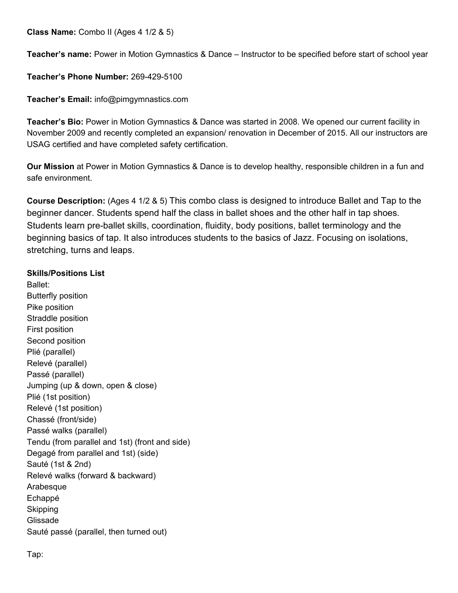**Class Name:** Combo II (Ages 4 1/2 & 5)

**Teacher's name:** Power in Motion Gymnastics & Dance – Instructor to be specified before start of school year

**Teacher's Phone Number:** 269-429-5100

**Teacher's Email:** info@pimgymnastics.com

**Teacher's Bio:** Power in Motion Gymnastics & Dance was started in 2008. We opened our current facility in November 2009 and recently completed an expansion/ renovation in December of 2015. All our instructors are USAG certified and have completed safety certification.

**Our Mission** at Power in Motion Gymnastics & Dance is to develop healthy, responsible children in a fun and safe environment.

**Course Description:** (Ages 4 1/2 & 5) This combo class is designed to introduce Ballet and Tap to the beginner dancer. Students spend half the class in ballet shoes and the other half in tap shoes. Students learn pre-ballet skills, coordination, fluidity, body positions, ballet terminology and the beginning basics of tap. It also introduces students to the basics of Jazz. Focusing on isolations, stretching, turns and leaps.

## **Skills/Positions List**

Ballet: Butterfly position Pike position Straddle position First position Second position Plié (parallel) Relevé (parallel) Passé (parallel) Jumping (up & down, open & close) Plié (1st position) Relevé (1st position) Chassé (front/side) Passé walks (parallel) Tendu (from parallel and 1st) (front and side) Degagé from parallel and 1st) (side) Sauté (1st & 2nd) Relevé walks (forward & backward) Arabesque Echappé **Skipping** Glissade Sauté passé (parallel, then turned out)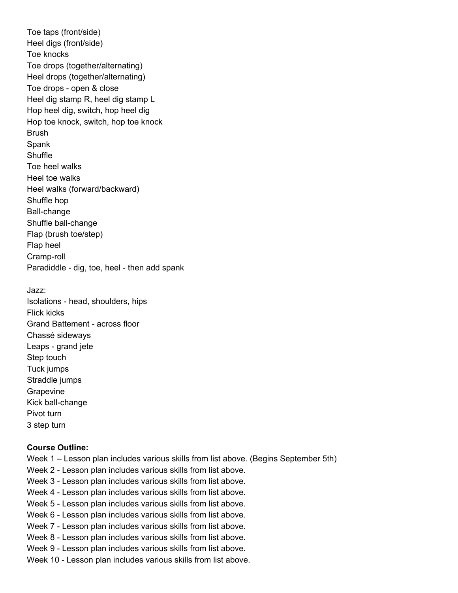Toe taps (front/side) Heel digs (front/side) Toe knocks Toe drops (together/alternating) Heel drops (together/alternating) Toe drops - open & close Heel dig stamp R, heel dig stamp L Hop heel dig, switch, hop heel dig Hop toe knock, switch, hop toe knock **Brush** Spank **Shuffle** Toe heel walks Heel toe walks Heel walks (forward/backward) Shuffle hop Ball-change Shuffle ball-change Flap (brush toe/step) Flap heel Cramp-roll Paradiddle - dig, toe, heel - then add spank

Jazz:

Isolations - head, shoulders, hips Flick kicks Grand Battement - across floor Chassé sideways Leaps - grand jete Step touch Tuck jumps Straddle jumps Grapevine Kick ball-change Pivot turn 3 step turn

## **Course Outline:**

- Week 1 Lesson plan includes various skills from list above. (Begins September 5th)
- Week 2 Lesson plan includes various skills from list above.
- Week 3 Lesson plan includes various skills from list above.
- Week 4 Lesson plan includes various skills from list above.
- Week 5 Lesson plan includes various skills from list above.
- Week 6 Lesson plan includes various skills from list above.
- Week 7 Lesson plan includes various skills from list above.
- Week 8 Lesson plan includes various skills from list above.
- Week 9 Lesson plan includes various skills from list above.
- Week 10 Lesson plan includes various skills from list above.